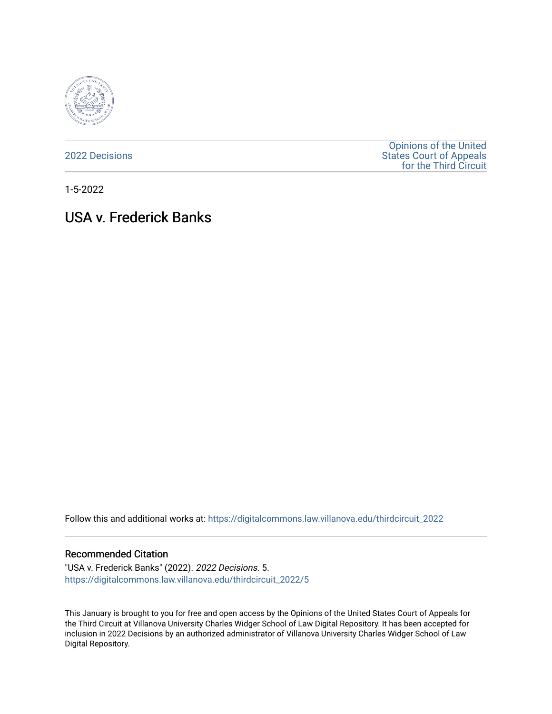

[2022 Decisions](https://digitalcommons.law.villanova.edu/thirdcircuit_2022)

[Opinions of the United](https://digitalcommons.law.villanova.edu/thirdcircuit)  [States Court of Appeals](https://digitalcommons.law.villanova.edu/thirdcircuit)  [for the Third Circuit](https://digitalcommons.law.villanova.edu/thirdcircuit) 

1-5-2022

# USA v. Frederick Banks

Follow this and additional works at: [https://digitalcommons.law.villanova.edu/thirdcircuit\\_2022](https://digitalcommons.law.villanova.edu/thirdcircuit_2022?utm_source=digitalcommons.law.villanova.edu%2Fthirdcircuit_2022%2F5&utm_medium=PDF&utm_campaign=PDFCoverPages) 

#### Recommended Citation

"USA v. Frederick Banks" (2022). 2022 Decisions. 5. [https://digitalcommons.law.villanova.edu/thirdcircuit\\_2022/5](https://digitalcommons.law.villanova.edu/thirdcircuit_2022/5?utm_source=digitalcommons.law.villanova.edu%2Fthirdcircuit_2022%2F5&utm_medium=PDF&utm_campaign=PDFCoverPages) 

This January is brought to you for free and open access by the Opinions of the United States Court of Appeals for the Third Circuit at Villanova University Charles Widger School of Law Digital Repository. It has been accepted for inclusion in 2022 Decisions by an authorized administrator of Villanova University Charles Widger School of Law Digital Repository.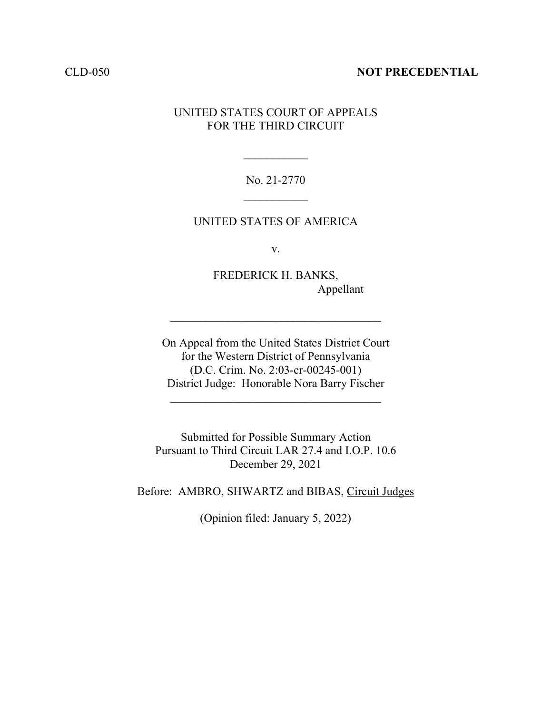#### CLD-050 **NOT PRECEDENTIAL**

## UNITED STATES COURT OF APPEALS FOR THE THIRD CIRCUIT

No. 21-2770  $\frac{1}{2}$ 

 $\frac{1}{2}$ 

### UNITED STATES OF AMERICA

v.

FREDERICK H. BANKS, Appellant

On Appeal from the United States District Court for the Western District of Pennsylvania (D.C. Crim. No. 2:03-cr-00245-001) District Judge: Honorable Nora Barry Fischer

 $\mathcal{L}_\text{max}$  and  $\mathcal{L}_\text{max}$  and  $\mathcal{L}_\text{max}$  and  $\mathcal{L}_\text{max}$ 

Submitted for Possible Summary Action Pursuant to Third Circuit LAR 27.4 and I.O.P. 10.6 December 29, 2021

Before: AMBRO, SHWARTZ and BIBAS, Circuit Judges

(Opinion filed: January 5, 2022)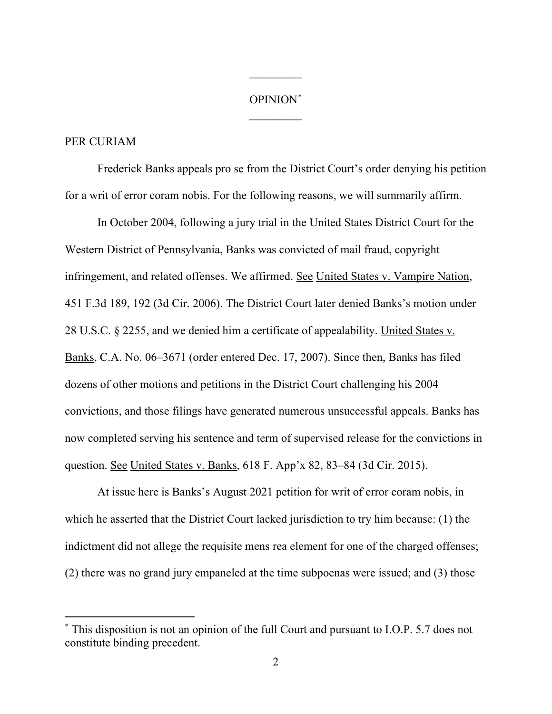# OPINION[\\*](#page-2-0)  $\overline{\phantom{a}}$

 $\frac{1}{2}$ 

#### PER CURIAM

Frederick Banks appeals pro se from the District Court's order denying his petition for a writ of error coram nobis. For the following reasons, we will summarily affirm.

In October 2004, following a jury trial in the United States District Court for the Western District of Pennsylvania, Banks was convicted of mail fraud, copyright infringement, and related offenses. We affirmed. See United States v. Vampire Nation, 451 F.3d 189, 192 (3d Cir. 2006). The District Court later denied Banks's motion under 28 U.S.C. § 2255, and we denied him a certificate of appealability. United States v. Banks, C.A. No. 06–3671 (order entered Dec. 17, 2007). Since then, Banks has filed dozens of other motions and petitions in the District Court challenging his 2004 convictions, and those filings have generated numerous unsuccessful appeals. Banks has now completed serving his sentence and term of supervised release for the convictions in question. See United States v. Banks, 618 F. App'x 82, 83–84 (3d Cir. 2015).

At issue here is Banks's August 2021 petition for writ of error coram nobis, in which he asserted that the District Court lacked jurisdiction to try him because: (1) the indictment did not allege the requisite mens rea element for one of the charged offenses; (2) there was no grand jury empaneled at the time subpoenas were issued; and (3) those

<span id="page-2-0"></span><sup>\*</sup> This disposition is not an opinion of the full Court and pursuant to I.O.P. 5.7 does not constitute binding precedent.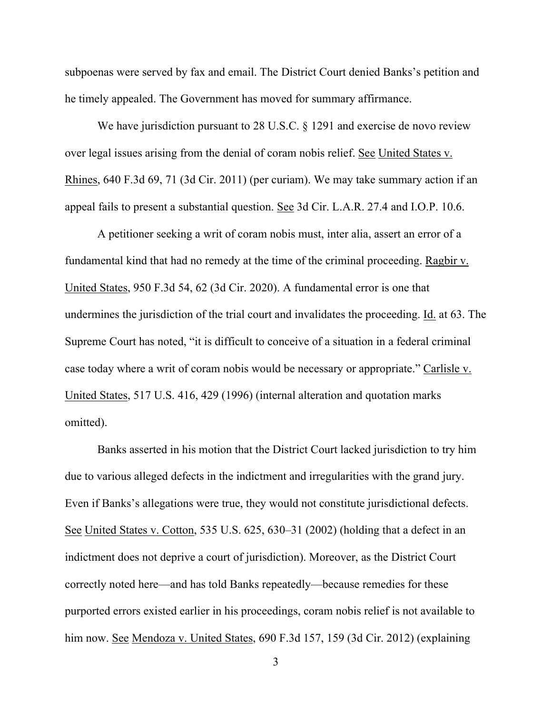subpoenas were served by fax and email. The District Court denied Banks's petition and he timely appealed. The Government has moved for summary affirmance.

We have jurisdiction pursuant to 28 U.S.C. § 1291 and exercise de novo review over legal issues arising from the denial of coram nobis relief. See United States v. Rhines, 640 F.3d 69, 71 (3d Cir. 2011) (per curiam). We may take summary action if an appeal fails to present a substantial question. See 3d Cir. L.A.R. 27.4 and I.O.P. 10.6.

A petitioner seeking a writ of coram nobis must, inter alia, assert an error of a fundamental kind that had no remedy at the time of the criminal proceeding. Ragbir v. United States, 950 F.3d 54, 62 (3d Cir. 2020). A fundamental error is one that undermines the jurisdiction of the trial court and invalidates the proceeding. Id. at 63. The Supreme Court has noted, "it is difficult to conceive of a situation in a federal criminal case today where a writ of coram nobis would be necessary or appropriate." Carlisle v. United States, 517 U.S. 416, 429 (1996) (internal alteration and quotation marks omitted).

Banks asserted in his motion that the District Court lacked jurisdiction to try him due to various alleged defects in the indictment and irregularities with the grand jury. Even if Banks's allegations were true, they would not constitute jurisdictional defects. See United States v. Cotton, 535 U.S. 625, 630–31 (2002) (holding that a defect in an indictment does not deprive a court of jurisdiction). Moreover, as the District Court correctly noted here—and has told Banks repeatedly—because remedies for these purported errors existed earlier in his proceedings, coram nobis relief is not available to him now. See Mendoza v. United States, 690 F.3d 157, 159 (3d Cir. 2012) (explaining

3